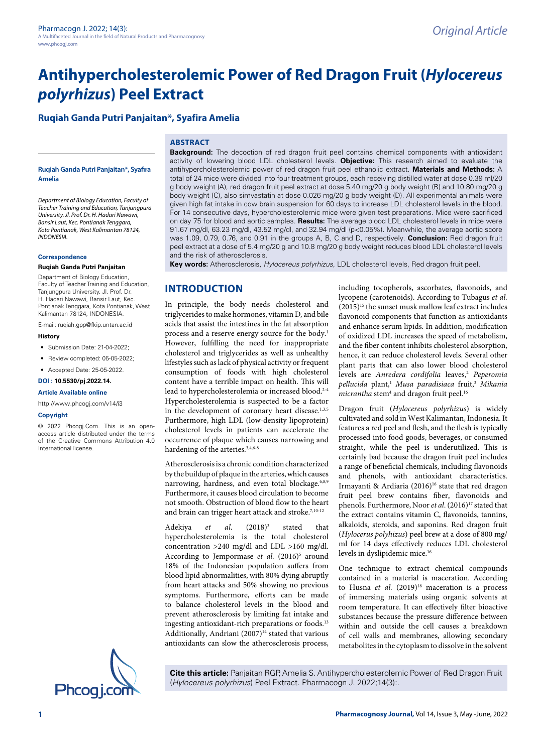# **Antihypercholesterolemic Power of Red Dragon Fruit (***Hylocereus polyrhizus***) Peel Extract**

# **Ruqiah Ganda Putri Panjaitan\*, Syafira Amelia**

## **ABSTRACT**

#### **Ruqiah Ganda Putri Panjaitan\*, Syafira Amelia**

*Department of Biology Education, Faculty of Teacher Training and Education, Tanjungpura University. Jl. Prof. Dr. H. Hadari Nawawi, Bansir Laut, Kec. Pontianak Tenggara, Kota Pontianak, West Kalimantan 78124, INDONESIA.*

#### **Correspondence**

#### **Ruqiah Ganda Putri Panjaitan**

Department of Biology Education, Faculty of Teacher Training and Education, Tanjungpura University. Jl. Prof. Dr. H. Hadari Nawawi, Bansir Laut, Kec. Pontianak Tenggara, Kota Pontianak, West Kalimantan 78124, INDONESIA.

E-mail: ruqiah.gpp@fkip.untan.ac.id

#### **History**

- Submission Date: 21-04-2022;
- Review completed: 05-05-2022;
- Accepted Date: 25-05-2022.

#### **DOI : 10.5530/pj.2022.14.**

#### **Article Available online**

[http://www.phcogj.com/v14/i](http://www.phcogj.com/v13/i4)3

#### **Copyright**

© 2022 Phcogj.Com. This is an openaccess article distributed under the terms of the Creative Commons Attribution 4.0 International license.



**Background:** The decoction of red dragon fruit peel contains chemical components with antioxidant activity of lowering blood LDL cholesterol levels. **Objective:** This research aimed to evaluate the antihypercholesterolemic power of red dragon fruit peel ethanolic extract. **Materials and Methods:** A total of 24 mice were divided into four treatment groups, each receiving distilled water at dose 0.39 ml/20 g body weight (A), red dragon fruit peel extract at dose 5.40 mg/20 g body weight (B) and 10.80 mg/20 g body weight (C), also simvastatin at dose 0.026 mg/20 g body weight (D). All experimental animals were given high fat intake in cow brain suspension for 60 days to increase LDL cholesterol levels in the blood. For 14 consecutive days, hypercholesterolemic mice were given test preparations. Mice were sacrificed on day 75 for blood and aortic samples. **Results:** The average blood LDL cholesterol levels in mice were 91.67 mg/dl, 63.23 mg/dl, 43.52 mg/dl, and 32.94 mg/dl (p<0.05%). Meanwhile, the average aortic score was 1.09, 0.79, 0.76, and 0.91 in the groups A, B, C and D, respectively. **Conclusion:** Red dragon fruit peel extract at a dose of 5.4 mg/20 g and 10.8 mg/20 g body weight reduces blood LDL cholesterol levels and the risk of atherosclerosis.

**Key words:** Atherosclerosis, *Hylocereus polyrhizus*, LDL cholesterol levels, Red dragon fruit peel.

## **INTRODUCTION**

In principle, the body needs cholesterol and triglycerides to make hormones, vitamin D, and bile acids that assist the intestines in the fat absorption process and a reserve energy source for the body.<sup>1</sup> However, fulfilling the need for inappropriate cholesterol and triglycerides as well as unhealthy lifestyles such as lack of physical activity or frequent consumption of foods with high cholesterol content have a terrible impact on health. This will lead to hypercholesterolemia or increased blood.<sup>2-4</sup> Hypercholesterolemia is suspected to be a factor in the development of coronary heart disease.<sup>1,3,5</sup> Furthermore, high LDL (low-density lipoprotein) cholesterol levels in patients can accelerate the occurrence of plaque which causes narrowing and hardening of the arteries.<sup>3,4,6-8</sup>

Atherosclerosis is a chronic condition characterized by the buildup of plaque in the arteries, which causes narrowing, hardness, and even total blockage.<sup>6,8,9</sup> Furthermore, it causes blood circulation to become not smooth. Obstruction of blood flow to the heart and brain can trigger heart attack and stroke.<sup>7,10-12</sup>

Adekiya *et al*. (2018)3 stated that hypercholesterolemia is the total cholesterol concentration >240 mg/dl and LDL >160 mg/dl. According to Jempormase et al. (2016)<sup>5</sup> around 18% of the Indonesian population suffers from blood lipid abnormalities, with 80% dying abruptly from heart attacks and 50% showing no previous symptoms. Furthermore, efforts can be made to balance cholesterol levels in the blood and prevent atherosclerosis by limiting fat intake and ingesting antioxidant-rich preparations or foods.<sup>13</sup> Additionally, Andriani (2007)<sup>14</sup> stated that various antioxidants can slow the atherosclerosis process,

including tocopherols, ascorbates, flavonoids, and lycopene (carotenoids). According to Tubagus *et al.*  (2015)15 the sunset musk mallow leaf extract includes flavonoid components that function as antioxidants and enhance serum lipids. In addition, modification of oxidized LDL increases the speed of metabolism, and the fiber content inhibits cholesterol absorption, hence, it can reduce cholesterol levels. Several other plant parts that can also lower blood cholesterol levels are *Anredera cordifolia* leaves,<sup>2</sup> Peperomia *pellucida* plant,1 *Musa paradisiaca* fruit,3 *Mikania*  micrantha stem<sup>4</sup> and dragon fruit peel.<sup>16</sup>

Dragon fruit (*Hylocereus polyrhizus*) is widely cultivated and sold in West Kalimantan, Indonesia. It features a red peel and flesh, and the flesh is typically processed into food goods, beverages, or consumed straight, while the peel is underutilized. This is certainly bad because the dragon fruit peel includes a range of beneficial chemicals, including flavonoids and phenols, with antioxidant characteristics. Irmayanti & Ardiaria (2016)<sup>16</sup> state that red dragon fruit peel brew contains fiber, flavonoids and phenols. Furthermore, Noor *et al.* (2016)<sup>17</sup> stated that the extract contains vitamin C, flavonoids, tannins, alkaloids, steroids, and saponins. Red dragon fruit (*Hylocerus polyhizus*) peel brew at a dose of 800 mg/ ml for 14 days effectively reduces LDL cholesterol levels in dyslipidemic mice.16

One technique to extract chemical compounds contained in a material is maceration. According to Husna et al. (2019)<sup>18</sup> maceration is a process of immersing materials using organic solvents at room temperature. It can effectively filter bioactive substances because the pressure difference between within and outside the cell causes a breakdown of cell walls and membranes, allowing secondary metabolites in the cytoplasm to dissolve in the solvent

**Cite this article:** Panjaitan RGP, Amelia S. Antihypercholesterolemic Power of Red Dragon Fruit (*Hylocereus polyrhizus*) Peel Extract. Pharmacogn J. 2022;14(3):.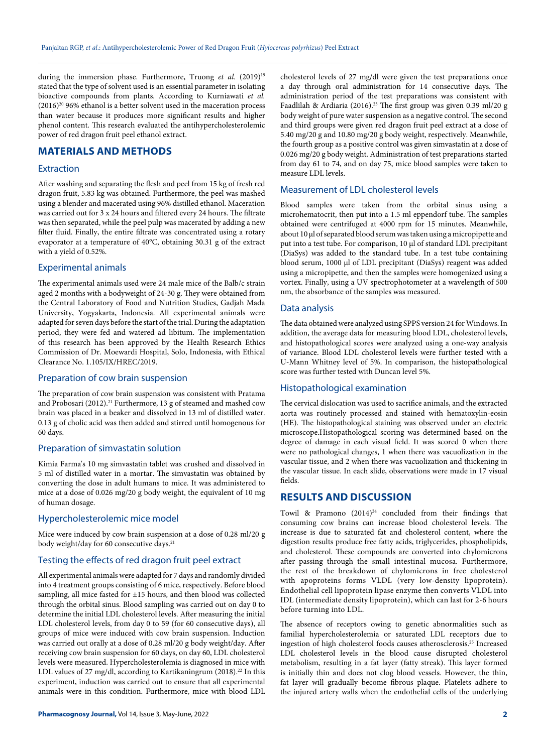during the immersion phase. Furthermore, Truong *et al.* (2019)<sup>19</sup> stated that the type of solvent used is an essential parameter in isolating bioactive compounds from plants. According to Kurniawati *et al.*   $(2016)^{20}$  96% ethanol is a better solvent used in the maceration process than water because it produces more significant results and higher phenol content. This research evaluated the antihypercholesterolemic power of red dragon fruit peel ethanol extract.

# **MATERIALS AND METHODS**

#### Extraction

After washing and separating the flesh and peel from 15 kg of fresh red dragon fruit, 5.83 kg was obtained. Furthermore, the peel was mashed using a blender and macerated using 96% distilled ethanol. Maceration was carried out for 3 x 24 hours and filtered every 24 hours. The filtrate was then separated, while the peel pulp was macerated by adding a new filter fluid. Finally, the entire filtrate was concentrated using a rotary evaporator at a temperature of 40°C, obtaining 30.31 g of the extract with a yield of 0.52%.

## Experimental animals

The experimental animals used were 24 male mice of the Balb/c strain aged 2 months with a bodyweight of 24-30 g. They were obtained from the Central Laboratory of Food and Nutrition Studies, Gadjah Mada University, Yogyakarta, Indonesia. All experimental animals were adapted for seven days before the start of the trial. During the adaptation period, they were fed and watered ad libitum. The implementation of this research has been approved by the Health Research Ethics Commission of Dr. Moewardi Hospital, Solo, Indonesia, with Ethical Clearance No. 1.105/IX/HREC/2019.

## Preparation of cow brain suspension

The preparation of cow brain suspension was consistent with Pratama and Probosari (2012).<sup>21</sup> Furthermore, 13 g of steamed and mashed cow brain was placed in a beaker and dissolved in 13 ml of distilled water. 0.13 g of cholic acid was then added and stirred until homogenous for 60 days.

## Preparation of simvastatin solution

Kimia Farma's 10 mg simvastatin tablet was crushed and dissolved in 5 ml of distilled water in a mortar. The simvastatin was obtained by converting the dose in adult humans to mice. It was administered to mice at a dose of 0.026 mg/20 g body weight, the equivalent of 10 mg of human dosage.

# Hypercholesterolemic mice model

Mice were induced by cow brain suspension at a dose of 0.28 ml/20 g body weight/day for 60 consecutive days.<sup>21</sup>

## Testing the effects of red dragon fruit peel extract

All experimental animals were adapted for 7 days and randomly divided into 4 treatment groups consisting of 6 mice, respectively. Before blood sampling, all mice fasted for ±15 hours, and then blood was collected through the orbital sinus. Blood sampling was carried out on day 0 to determine the initial LDL cholesterol levels. After measuring the initial LDL cholesterol levels, from day 0 to 59 (for 60 consecutive days), all groups of mice were induced with cow brain suspension. Induction was carried out orally at a dose of 0.28 ml/20 g body weight/day. After receiving cow brain suspension for 60 days, on day 60, LDL cholesterol levels were measured. Hypercholesterolemia is diagnosed in mice with LDL values of 27 mg/dl, according to Kartikaningrum (2018).<sup>22</sup> In this experiment, induction was carried out to ensure that all experimental animals were in this condition. Furthermore, mice with blood LDL

cholesterol levels of 27 mg/dl were given the test preparations once a day through oral administration for 14 consecutive days. The administration period of the test preparations was consistent with Faadlilah & Ardiaria (2016).<sup>23</sup> The first group was given 0.39 ml/20 g body weight of pure water suspension as a negative control. The second and third groups were given red dragon fruit peel extract at a dose of 5.40 mg/20 g and 10.80 mg/20 g body weight, respectively. Meanwhile, the fourth group as a positive control was given simvastatin at a dose of 0.026 mg/20 g body weight. Administration of test preparations started from day 61 to 74, and on day 75, mice blood samples were taken to measure LDL levels.

## Measurement of LDL cholesterol levels

Blood samples were taken from the orbital sinus using a microhematocrit, then put into a 1.5 ml eppendorf tube. The samples obtained were centrifuged at 4000 rpm for 15 minutes. Meanwhile, about 10 µl of separated blood serum was taken using a micropipette and put into a test tube. For comparison, 10 µl of standard LDL precipitant (DiaSys) was added to the standard tube. In a test tube containing blood serum, 1000 µl of LDL precipitant (DiaSys) reagent was added using a micropipette, and then the samples were homogenized using a vortex. Finally, using a UV spectrophotometer at a wavelength of 500 nm, the absorbance of the samples was measured.

### Data analysis

The data obtained were analyzed using SPPS version 24 for Windows. In addition, the average data for measuring blood LDL, cholesterol levels, and histopathological scores were analyzed using a one-way analysis of variance. Blood LDL cholesterol levels were further tested with a U-Mann Whitney level of 5%. In comparison, the histopathological score was further tested with Duncan level 5%.

#### Histopathological examination

The cervical dislocation was used to sacrifice animals, and the extracted aorta was routinely processed and stained with hematoxylin-eosin (HE). The histopathological staining was observed under an electric microscope.Histopathological scoring was determined based on the degree of damage in each visual field. It was scored 0 when there were no pathological changes, 1 when there was vacuolization in the vascular tissue, and 2 when there was vacuolization and thickening in the vascular tissue. In each slide, observations were made in 17 visual fields.

# **RESULTS AND DISCUSSION**

Towil & Pramono  $(2014)^{24}$  concluded from their findings that consuming cow brains can increase blood cholesterol levels. The increase is due to saturated fat and cholesterol content, where the digestion results produce free fatty acids, triglycerides, phospholipids, and cholesterol. These compounds are converted into chylomicrons after passing through the small intestinal mucosa. Furthermore, the rest of the breakdown of chylomicrons in free cholesterol with apoproteins forms VLDL (very low-density lipoprotein). Endothelial cell lipoprotein lipase enzyme then converts VLDL into IDL (intermediate density lipoprotein), which can last for 2-6 hours before turning into LDL.

The absence of receptors owing to genetic abnormalities such as familial hypercholesterolemia or saturated LDL receptors due to ingestion of high cholesterol foods causes atherosclerosis.25 Increased LDL cholesterol levels in the blood cause disrupted cholesterol metabolism, resulting in a fat layer (fatty streak). This layer formed is initially thin and does not clog blood vessels. However, the thin, fat layer will gradually become fibrous plaque. Platelets adhere to the injured artery walls when the endothelial cells of the underlying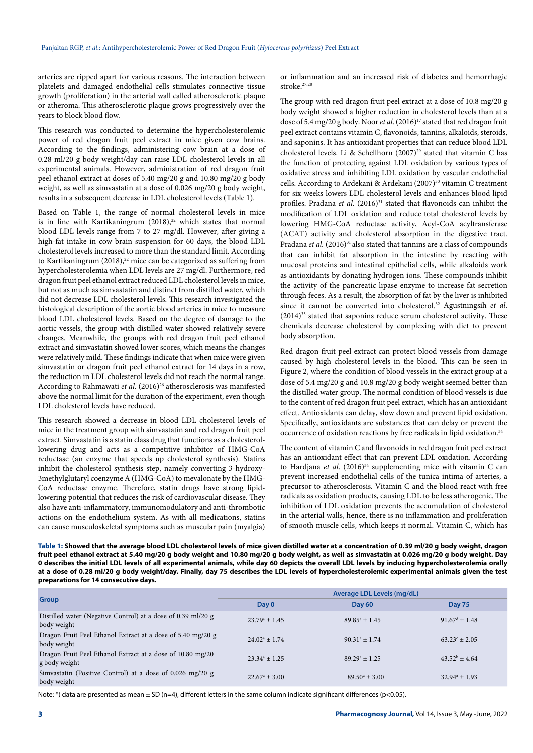arteries are ripped apart for various reasons. The interaction between platelets and damaged endothelial cells stimulates connective tissue growth (proliferation) in the arterial wall called atherosclerotic plaque or atheroma. This atherosclerotic plaque grows progressively over the years to block blood flow.

This research was conducted to determine the hypercholesterolemic power of red dragon fruit peel extract in mice given cow brains. According to the findings, administering cow brain at a dose of 0.28 ml/20 g body weight/day can raise LDL cholesterol levels in all experimental animals. However, administration of red dragon fruit peel ethanol extract at doses of 5.40 mg/20 g and 10.80 mg/20 g body weight, as well as simvastatin at a dose of 0.026 mg/20 g body weight, results in a subsequent decrease in LDL cholesterol levels (Table 1).

Based on Table 1, the range of normal cholesterol levels in mice is in line with Kartikaningrum  $(2018),^{22}$  which states that normal blood LDL levels range from 7 to 27 mg/dl. However, after giving a high-fat intake in cow brain suspension for 60 days, the blood LDL cholesterol levels increased to more than the standard limit. According to Kartikaningrum  $(2018)<sup>22</sup>$  mice can be categorized as suffering from hypercholesterolemia when LDL levels are 27 mg/dl. Furthermore, red dragon fruit peel ethanol extract reduced LDL cholesterol levels in mice, but not as much as simvastatin and distinct from distilled water, which did not decrease LDL cholesterol levels. This research investigated the histological description of the aortic blood arteries in mice to measure blood LDL cholesterol levels. Based on the degree of damage to the aortic vessels, the group with distilled water showed relatively severe changes. Meanwhile, the groups with red dragon fruit peel ethanol extract and simvastatin showed lower scores, which means the changes were relatively mild. These findings indicate that when mice were given simvastatin or dragon fruit peel ethanol extract for 14 days in a row, the reduction in LDL cholesterol levels did not reach the normal range. According to Rahmawati et al. (2016)<sup>26</sup> atherosclerosis was manifested above the normal limit for the duration of the experiment, even though LDL cholesterol levels have reduced.

This research showed a decrease in blood LDL cholesterol levels of mice in the treatment group with simvastatin and red dragon fruit peel extract. Simvastatin is a statin class drug that functions as a cholesterollowering drug and acts as a competitive inhibitor of HMG-CoA reductase (an enzyme that speeds up cholesterol synthesis). Statins inhibit the cholesterol synthesis step, namely converting 3-hydroxy-3methylglutaryl coenzyme A (HMG-CoA) to mevalonate by the HMG-CoA reductase enzyme. Therefore, statin drugs have strong lipidlowering potential that reduces the risk of cardiovascular disease. They also have anti-inflammatory, immunomodulatory and anti-thrombotic actions on the endothelium system. As with all medications, statins can cause musculoskeletal symptoms such as muscular pain (myalgia)

or inflammation and an increased risk of diabetes and hemorrhagic stroke.27,28

The group with red dragon fruit peel extract at a dose of 10.8 mg/20 g body weight showed a higher reduction in cholesterol levels than at a dose of 5.4 mg/20 g body. Noor *et al.* (2016)<sup>17</sup> stated that red dragon fruit peel extract contains vitamin C, flavonoids, tannins, alkaloids, steroids, and saponins. It has antioxidant properties that can reduce blood LDL cholesterol levels. Li & Schellhorn (2007)<sup>29</sup> stated that vitamin C has the function of protecting against LDL oxidation by various types of oxidative stress and inhibiting LDL oxidation by vascular endothelial cells. According to Ardekani & Ardekani (2007)<sup>30</sup> vitamin C treatment for six weeks lowers LDL cholesterol levels and enhances blood lipid profiles. Pradana *et al.* (2016)<sup>31</sup> stated that flavonoids can inhibit the modification of LDL oxidation and reduce total cholesterol levels by lowering HMG-CoA reductase activity, Acyl-CoA acyltransferase (ACAT) activity and cholesterol absorption in the digestive tract. Pradana *et al.* (2016)<sup>31</sup> also stated that tannins are a class of compounds that can inhibit fat absorption in the intestine by reacting with mucosal proteins and intestinal epithelial cells, while alkaloids work as antioxidants by donating hydrogen ions. These compounds inhibit the activity of the pancreatic lipase enzyme to increase fat secretion through feces. As a result, the absorption of fat by the liver is inhibited since it cannot be converted into cholesterol.32 Agustningsih *et al*.  $(2014)$ <sup>33</sup> stated that saponins reduce serum cholesterol activity. These chemicals decrease cholesterol by complexing with diet to prevent body absorption.

Red dragon fruit peel extract can protect blood vessels from damage caused by high cholesterol levels in the blood. This can be seen in Figure 2, where the condition of blood vessels in the extract group at a dose of 5.4 mg/20 g and 10.8 mg/20 g body weight seemed better than the distilled water group. The normal condition of blood vessels is due to the content of red dragon fruit peel extract, which has an antioxidant effect. Antioxidants can delay, slow down and prevent lipid oxidation. Specifically, antioxidants are substances that can delay or prevent the occurrence of oxidation reactions by free radicals in lipid oxidation.<sup>34</sup>

The content of vitamin C and flavonoids in red dragon fruit peel extract has an antioxidant effect that can prevent LDL oxidation. According to Hardjana *et al.* (2016)<sup>34</sup> supplementing mice with vitamin C can prevent increased endothelial cells of the tunica intima of arteries, a precursor to atherosclerosis. Vitamin C and the blood react with free radicals as oxidation products, causing LDL to be less atherogenic. The inhibition of LDL oxidation prevents the accumulation of cholesterol in the arterial walls, hence, there is no inflammation and proliferation of smooth muscle cells, which keeps it normal. Vitamin C, which has

**Table 1: Showed that the average blood LDL cholesterol levels of mice given distilled water at a concentration of 0.39 ml/20 g body weight, dragon fruit peel ethanol extract at 5.40 mg/20 g body weight and 10.80 mg/20 g body weight, as well as simvastatin at 0.026 mg/20 g body weight. Day 0 describes the initial LDL levels of all experimental animals, while day 60 depicts the overall LDL levels by inducing hypercholesterolemia orally at a dose of 0.28 ml/20 g body weight/day. Finally, day 75 describes the LDL levels of hypercholesterolemic experimental animals given the test preparations for 14 consecutive days.**

| <b>Group</b>                                                                | Average LDL Levels (mg/dL)     |                          |                             |
|-----------------------------------------------------------------------------|--------------------------------|--------------------------|-----------------------------|
|                                                                             | Day 0                          | <b>Day 60</b>            | <b>Day 75</b>               |
| Distilled water (Negative Control) at a dose of 0.39 ml/20 g<br>body weight | $23.79^{\circ}$ + 1.45         | $89.85^{\circ}$ + 1.45   | $91.67^{\text{d}} \pm 1.48$ |
| Dragon Fruit Peel Ethanol Extract at a dose of 5.40 mg/20 g<br>body weight  | $24.02^{\circ}$ + 1.74         | $90.31^{\circ} \pm 1.74$ | $63.23^{\circ}$ + 2.05      |
| Dragon Fruit Peel Ethanol Extract at a dose of 10.80 mg/20<br>g body weight | $23.34^{\circ} \pm 1.25$       | $89.29^{\circ}$ + 1.25   | $43.52^b$ + 4.64            |
| Simvastatin (Positive Control) at a dose of 0.026 mg/20 g<br>body weight    | $22.67^{\circ} + 3.00^{\circ}$ | $89.50^{\circ} \pm 3.00$ | $32.94^{\circ} \pm 1.93$    |

Note: \*) data are presented as mean  $\pm$  SD (n=4), different letters in the same column indicate significant differences (p<0.05).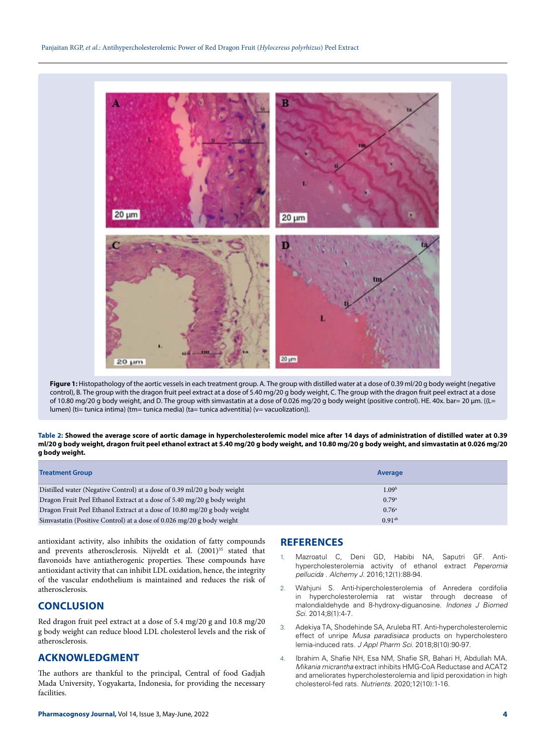

**Figure 1:** Histopathology of the aortic vessels in each treatment group. A. The group with distilled water at a dose of 0.39 ml/20 g body weight (negative control), B. The group with the dragon fruit peel extract at a dose of 5.40 mg/20 g body weight, C. The group with the dragon fruit peel extract at a dose of 10.80 mg/20 g body weight, and D. The group with simvastatin at a dose of 0.026 mg/20 g body weight (positive control). HE. 40x. bar= 20 µm. {(L= lumen) (ti= tunica intima) (tm= tunica media) (ta= tunica adventitia) (v= vacuolization)}.

**Table 2: Showed the average score of aortic damage in hypercholesterolemic model mice after 14 days of administration of distilled water at 0.39 ml/20 g body weight, dragon fruit peel ethanol extract at 5.40 mg/20 g body weight, and 10.80 mg/20 g body weight, and simvastatin at 0.026 mg/20 g body weight.** 

| <b>Treatment Group</b>                                                   | Average           |  |
|--------------------------------------------------------------------------|-------------------|--|
| Distilled water (Negative Control) at a dose of 0.39 ml/20 g body weight | 1.09 <sup>b</sup> |  |
| Dragon Fruit Peel Ethanol Extract at a dose of 5.40 mg/20 g body weight  | 0.79a             |  |
| Dragon Fruit Peel Ethanol Extract at a dose of 10.80 mg/20 g body weight | $0.76^{\circ}$    |  |
| Simvastatin (Positive Control) at a dose of 0.026 mg/20 g body weight    | $0.91^{ab}$       |  |

antioxidant activity, also inhibits the oxidation of fatty compounds and prevents atherosclerosis. Nijveldt et al. (2001)<sup>35</sup> stated that flavonoids have antiatherogenic properties. These compounds have antioxidant activity that can inhibit LDL oxidation, hence, the integrity of the vascular endothelium is maintained and reduces the risk of atherosclerosis.

# **CONCLUSION**

Red dragon fruit peel extract at a dose of 5.4 mg/20 g and 10.8 mg/20 g body weight can reduce blood LDL cholesterol levels and the risk of atherosclerosis.

# **ACKNOWLEDGMENT**

The authors are thankful to the principal, Central of food Gadjah Mada University, Yogyakarta, Indonesia, for providing the necessary facilities.

## **REFERENCES**

- 1. Mazroatul C, Deni GD, Habibi NA, Saputri GF. Antihypercholesterolemia activity of ethanol extract *Peperomia pellucida* . *Alchemy J*. 2016;12(1):88-94.
- 2. Wahjuni S. Anti-hipercholesterolemia of Anredera cordifolia in hypercholesterolemia rat wistar through decrease of malondialdehyde and 8-hydroxy-diguanosine. *Indones J Biomed Sci.* 2014;8(1):4-7.
- 3. Adekiya TA, Shodehinde SA, Aruleba RT. Anti-hypercholesterolemic effect of unripe *Musa paradisiaca* products on hypercholestero lemia-induced rats. *J Appl Pharm Sci.* 2018;8(10):90-97.
- 4. Ibrahim A, Shafie NH, Esa NM, Shafie SR, Bahari H, Abdullah MA. *Mikania micrantha* extract inhibits HMG-CoA Reductase and ACAT2 and ameliorates hypercholesterolemia and lipid peroxidation in high cholesterol-fed rats. *Nutrients*. 2020;12(10):1-16.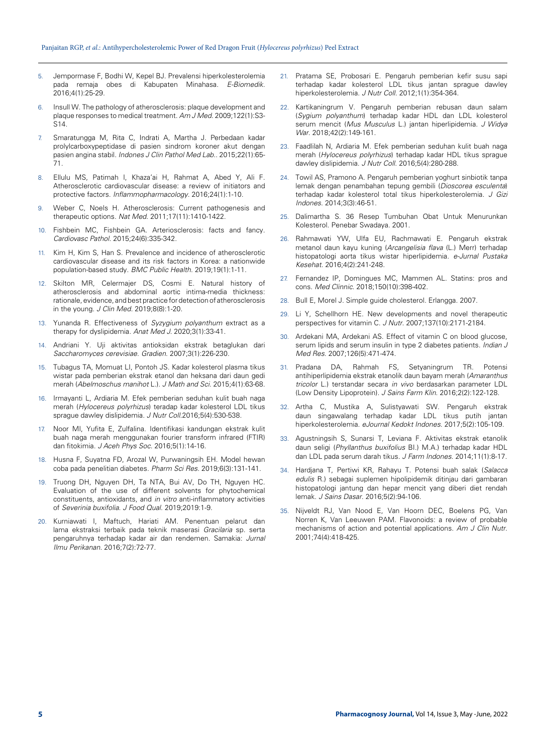- 5. Jempormase F, Bodhi W, Kepel BJ. Prevalensi hiperkolesterolemia pada remaja obes di Kabupaten Minahasa. *E-Biomedik*. 2016;4(1):25-29.
- 6. Insull W. The pathology of atherosclerosis: plaque development and plaque responses to medical treatment. *Am J Med*. 2009;122(1):S3- S14.
- 7. Smaratungga M, Rita C, Indrati A, Martha J. Perbedaan kadar prolylcarboxypeptidase di pasien sindrom koroner akut dengan pasien angina stabil. *Indones J Clin Pathol Med Lab.*. 2015;22(1):65- 71.
- 8. Ellulu MS, Patimah I, Khaza'ai H, Rahmat A, Abed Y, Ali F. Atherosclerotic cardiovascular disease: a review of initiators and protective factors. *Inflammopharmacology*. 2016;24(1):1-10.
- 9. Weber C, Noels H. Atherosclerosis: Current pathogenesis and therapeutic options. *Nat Med*. 2011;17(11):1410-1422.
- 10. Fishbein MC, Fishbein GA. Arteriosclerosis: facts and fancy. *Cardiovasc Pathol*. 2015;24(6):335-342.
- 11. Kim H, Kim S, Han S. Prevalence and incidence of atherosclerotic cardiovascular disease and its risk factors in Korea: a nationwide population-based study. *BMC Public Health*. 2019;19(1):1-11.
- 12. Skilton MR, Celermajer DS, Cosmi E. Natural history of atherosclerosis and abdominal aortic intima-media thickness: rationale, evidence, and best practice for detection of atherosclerosis in the young. *J Clin Med.* 2019;8(8):1-20.
- 13. Yunanda R. Effectiveness of *Syzygium polyanthum* extract as a therapy for dyslipidemia. *Anat Med J.* 2020;3(1):33-41.
- 14. Andriani Y. Uji aktivitas antioksidan ekstrak betaglukan dari *Saccharomyces cerevisiae*. *Gradien*. 2007;3(1):226-230.
- 15. Tubagus TA, Momuat LI, Pontoh JS. Kadar kolesterol plasma tikus wistar pada pemberian ekstrak etanol dan heksana dari daun gedi merah (*Abelmoschus manihot* L.). *J Math and Sci.* 2015;4(1):63-68.
- 16. Irmayanti L, Ardiaria M. Efek pemberian seduhan kulit buah naga merah (*Hylocereus polyrhizus*) teradap kadar kolesterol LDL tikus sprague dawley dislipidemia. *J Nutr Coll.*2016;5(4):530-538.
- 17. Noor MI, Yufita E, Zulfalina. Identifikasi kandungan ekstrak kulit buah naga merah menggunakan fourier transform infrared (FTIR) dan fitokimia. *J Aceh Phys Soc.* 2016;5(1):14-16.
- 18. Husna F, Suyatna FD, Arozal W, Purwaningsih EH. Model hewan coba pada penelitian diabetes. *Pharm Sci Res*. 2019;6(3):131-141.
- 19. Truong DH, Nguyen DH, Ta NTA, Bui AV, Do TH, Nguyen HC. Evaluation of the use of different solvents for phytochemical constituents, antioxidants, and *in vitro* anti-inflammatory activities of *Severinia buxifolia*. *J Food Qual*. 2019;2019:1-9.
- 20. Kurniawati I, Maftuch, Hariati AM. Penentuan pelarut dan lama ekstraksi terbaik pada teknik maserasi *Gracilaria* sp. serta pengaruhnya terhadap kadar air dan rendemen. Samakia: *Jurnal Ilmu Perikanan*. 2016;7(2):72-77.
- 21. Pratama SE, Probosari E. Pengaruh pemberian kefir susu sapi terhadap kadar kolesterol LDL tikus jantan sprague dawley hiperkolesterolemia. *J Nutr Coll.* 2012;1(1):354-364.
- 22. Kartikaningrum V. Pengaruh pemberian rebusan daun salam (*Sygium polyanthum*) terhadap kadar HDL dan LDL kolesterol serum mencit (*Mus Musculus* L.) jantan hiperlipidemia. *J Widya War*. 2018;42(2):149-161.
- 23. Faadlilah N, Ardiaria M. Efek pemberian seduhan kulit buah naga merah (*Hylocereus polyrhizus*) terhadap kadar HDL tikus sprague dawley dislipidemia. *J Nutr Coll*. 2016;5(4):280-288.
- 24. Towil AS, Pramono A. Pengaruh pemberian yoghurt sinbiotik tanpa lemak dengan penambahan tepung gembili (*Dioscorea esculenta*) terhadap kadar kolesterol total tikus hiperkolesterolemia. *J Gizi Indones*. 2014;3(3):46-51.
- 25. Dalimartha S. 36 Resep Tumbuhan Obat Untuk Menurunkan Kolesterol. Penebar Swadaya. 2001.
- 26. Rahmawati YW, Ulfa EU, Rachmawati E. Pengaruh ekstrak metanol daun kayu kuning (*Arcangelisia flava* (L.) Merr) terhadap histopatologi aorta tikus wistar hiperlipidemia. *e-Jurnal Pustaka Kesehat*. 2016;4(2):241-248.
- Fernandez IP, Domingues MC, Mammen AL. Statins: pros and cons. *Med Clinnic*. 2018;150(10):398-402.
- 28. Bull E, Morel J. Simple guide cholesterol. Erlangga. 2007.
- 29. Li Y, Schellhorn HE. New developments and novel therapeutic perspectives for vitamin C. *J Nutr*. 2007;137(10):2171-2184.
- 30. Ardekani MA, Ardekani AS. Effect of vitamin C on blood glucose, serum lipids and serum insulin in type 2 diabetes patients. *Indian J Med Res*. 2007;126(5):471-474.
- 31. Pradana DA, Rahmah FS, Setyaningrum TR. Potensi antihiperlipidemia ekstrak etanolik daun bayam merah (*Amaranthus tricolor* L.) terstandar secara *in vivo* berdasarkan parameter LDL (Low Density Lipoprotein). *J Sains Farm Klin*. 2016;2(2):122-128.
- 32. Artha C, Mustika A, Sulistyawati SW. Pengaruh ekstrak daun singawalang terhadap kadar LDL tikus putih jantan hiperkolesterolemia. *eJournal Kedokt Indones*. 2017;5(2):105-109.
- 33. Agustningsih S, Sunarsi T, Leviana F. Aktivitas ekstrak etanolik daun seligi (*Phyllanthus buxifolius* BI.) M.A.) terhadap kadar HDL dan LDL pada serum darah tikus. *J Farm Indones*. 2014;11(1):8-17.
- 34. Hardjana T, Pertiwi KR, Rahayu T. Potensi buah salak (*Salacca edulis* R.) sebagai suplemen hipolipidemik ditinjau dari gambaran histopatologi jantung dan hepar mencit yang diberi diet rendah lemak. *J Sains Dasar*. 2016;5(2):94-106.
- 35. Nijveldt RJ, Van Nood E, Van Hoorn DEC, Boelens PG, Van Norren K, Van Leeuwen PAM. Flavonoids: a review of probable mechanisms of action and potential applications. *Am J Clin Nutr*. 2001;74(4):418-425.